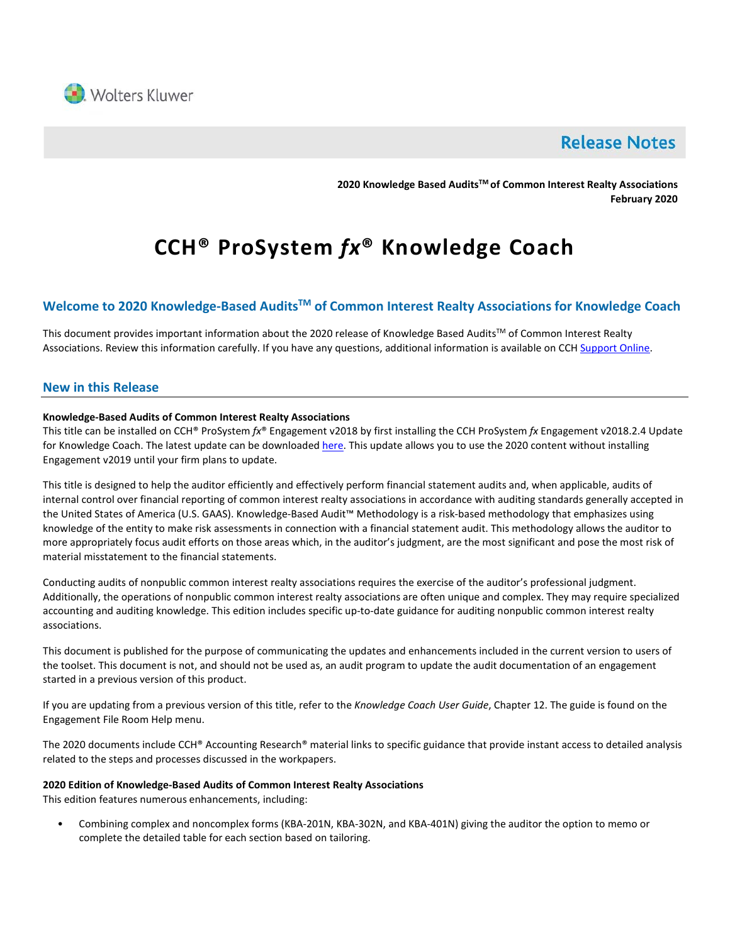

# **Release Notes**

**2020 Knowledge Based AuditsTM of Common Interest Realty Associations February 2020**

# **CCH® ProSystem** *fx***® Knowledge Coach**

# **Welcome to 2020 Knowledge-Based AuditsTM of Common Interest Realty Associations for Knowledge Coach**

This document provides important information about the 2020 release of Knowledge Based Audits™ of Common Interest Realty Associations. Review this information carefully. If you have any questions, additional information is available on CC[H Support Online.](http://support.cch.com/productsupport/)

### **New in this Release**

#### **Knowledge-Based Audits of Common Interest Realty Associations**

This title can be installed on CCH® ProSystem *fx*® Engagement v2018 by first installing the CCH ProSystem *fx* Engagement v2018.2.4 Update for Knowledge Coach. The latest update can be downloade[d here.](https://support.cch.com/updates/Engagement/release2018/release2018.aspx) This update allows you to use the 2020 content without installing Engagement v2019 until your firm plans to update.

This title is designed to help the auditor efficiently and effectively perform financial statement audits and, when applicable, audits of internal control over financial reporting of common interest realty associations in accordance with auditing standards generally accepted in the United States of America (U.S. GAAS). Knowledge-Based Audit™ Methodology is a risk-based methodology that emphasizes using knowledge of the entity to make risk assessments in connection with a financial statement audit. This methodology allows the auditor to more appropriately focus audit efforts on those areas which, in the auditor's judgment, are the most significant and pose the most risk of material misstatement to the financial statements.

Conducting audits of nonpublic common interest realty associations requires the exercise of the auditor's professional judgment. Additionally, the operations of nonpublic common interest realty associations are often unique and complex. They may require specialized accounting and auditing knowledge. This edition includes specific up-to-date guidance for auditing nonpublic common interest realty associations.

This document is published for the purpose of communicating the updates and enhancements included in the current version to users of the toolset. This document is not, and should not be used as, an audit program to update the audit documentation of an engagement started in a previous version of this product.

If you are updating from a previous version of this title, refer to the *Knowledge Coach User Guide*, Chapter 12. The guide is found on the Engagement File Room Help menu.

The 2020 documents include CCH® Accounting Research® material links to specific guidance that provide instant access to detailed analysis related to the steps and processes discussed in the workpapers.

#### **2020 Edition of Knowledge-Based Audits of Common Interest Realty Associations**

This edition features numerous enhancements, including:

• Combining complex and noncomplex forms (KBA-201N, KBA-302N, and KBA-401N) giving the auditor the option to memo or complete the detailed table for each section based on tailoring.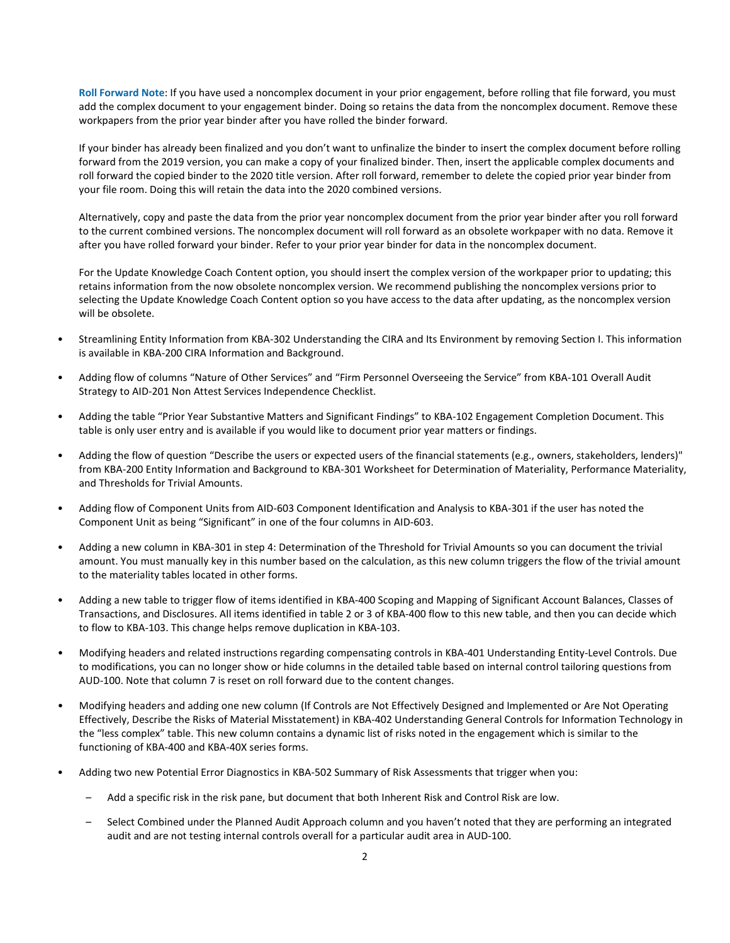**Roll Forward Note**: If you have used a noncomplex document in your prior engagement, before rolling that file forward, you must add the complex document to your engagement binder. Doing so retains the data from the noncomplex document. Remove these workpapers from the prior year binder after you have rolled the binder forward.

If your binder has already been finalized and you don't want to unfinalize the binder to insert the complex document before rolling forward from the 2019 version, you can make a copy of your finalized binder. Then, insert the applicable complex documents and roll forward the copied binder to the 2020 title version. After roll forward, remember to delete the copied prior year binder from your file room. Doing this will retain the data into the 2020 combined versions.

Alternatively, copy and paste the data from the prior year noncomplex document from the prior year binder after you roll forward to the current combined versions. The noncomplex document will roll forward as an obsolete workpaper with no data. Remove it after you have rolled forward your binder. Refer to your prior year binder for data in the noncomplex document.

For the Update Knowledge Coach Content option, you should insert the complex version of the workpaper prior to updating; this retains information from the now obsolete noncomplex version. We recommend publishing the noncomplex versions prior to selecting the Update Knowledge Coach Content option so you have access to the data after updating, as the noncomplex version will be obsolete.

- Streamlining Entity Information from KBA-302 Understanding the CIRA and Its Environment by removing Section I. This information is available in KBA-200 CIRA Information and Background.
- Adding flow of columns "Nature of Other Services" and "Firm Personnel Overseeing the Service" from KBA-101 Overall Audit Strategy to AID-201 Non Attest Services Independence Checklist.
- Adding the table "Prior Year Substantive Matters and Significant Findings" to KBA-102 Engagement Completion Document. This table is only user entry and is available if you would like to document prior year matters or findings.
- Adding the flow of question "Describe the users or expected users of the financial statements (e.g., owners, stakeholders, lenders)" from KBA-200 Entity Information and Background to KBA-301 Worksheet for Determination of Materiality, Performance Materiality, and Thresholds for Trivial Amounts.
- Adding flow of Component Units from AID-603 Component Identification and Analysis to KBA-301 if the user has noted the Component Unit as being "Significant" in one of the four columns in AID-603.
- Adding a new column in KBA-301 in step 4: Determination of the Threshold for Trivial Amounts so you can document the trivial amount. You must manually key in this number based on the calculation, as this new column triggers the flow of the trivial amount to the materiality tables located in other forms.
- Adding a new table to trigger flow of items identified in KBA-400 Scoping and Mapping of Significant Account Balances, Classes of Transactions, and Disclosures. All items identified in table 2 or 3 of KBA-400 flow to this new table, and then you can decide which to flow to KBA-103. This change helps remove duplication in KBA-103.
- Modifying headers and related instructions regarding compensating controls in KBA-401 Understanding Entity-Level Controls. Due to modifications, you can no longer show or hide columns in the detailed table based on internal control tailoring questions from AUD-100. Note that column 7 is reset on roll forward due to the content changes.
- Modifying headers and adding one new column (If Controls are Not Effectively Designed and Implemented or Are Not Operating Effectively, Describe the Risks of Material Misstatement) in KBA-402 Understanding General Controls for Information Technology in the "less complex" table. This new column contains a dynamic list of risks noted in the engagement which is similar to the functioning of KBA-400 and KBA-40X series forms.
- Adding two new Potential Error Diagnostics in KBA-502 Summary of Risk Assessments that trigger when you:
	- Add a specific risk in the risk pane, but document that both Inherent Risk and Control Risk are low.
	- Select Combined under the Planned Audit Approach column and you haven't noted that they are performing an integrated audit and are not testing internal controls overall for a particular audit area in AUD-100.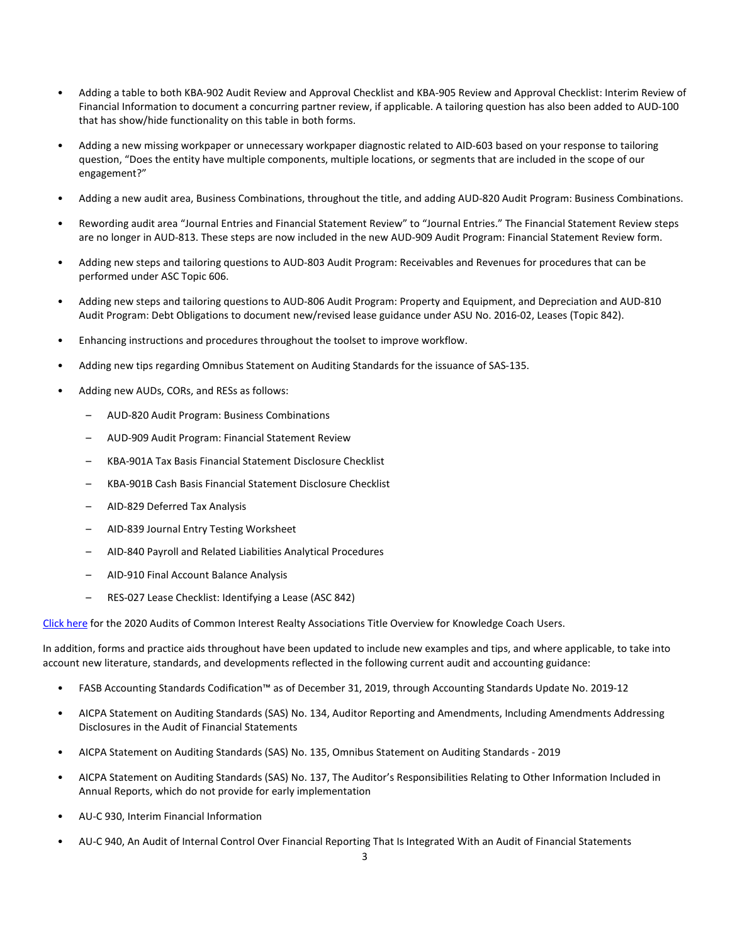- Adding a table to both KBA-902 Audit Review and Approval Checklist and KBA-905 Review and Approval Checklist: Interim Review of Financial Information to document a concurring partner review, if applicable. A tailoring question has also been added to AUD-100 that has show/hide functionality on this table in both forms.
- Adding a new missing workpaper or unnecessary workpaper diagnostic related to AID-603 based on your response to tailoring question, "Does the entity have multiple components, multiple locations, or segments that are included in the scope of our engagement?"
- Adding a new audit area, Business Combinations, throughout the title, and adding AUD-820 Audit Program: Business Combinations.
- Rewording audit area "Journal Entries and Financial Statement Review" to "Journal Entries." The Financial Statement Review steps are no longer in AUD-813. These steps are now included in the new AUD-909 Audit Program: Financial Statement Review form.
- Adding new steps and tailoring questions to AUD-803 Audit Program: Receivables and Revenues for procedures that can be performed under ASC Topic 606.
- Adding new steps and tailoring questions to AUD-806 Audit Program: Property and Equipment, and Depreciation and AUD-810 Audit Program: Debt Obligations to document new/revised lease guidance under ASU No. 2016-02, Leases (Topic 842).
- Enhancing instructions and procedures throughout the toolset to improve workflow.
- Adding new tips regarding Omnibus Statement on Auditing Standards for the issuance of SAS-135.
- Adding new AUDs, CORs, and RESs as follows:
	- AUD-820 Audit Program: Business Combinations
	- AUD-909 Audit Program: Financial Statement Review
	- KBA-901A Tax Basis Financial Statement Disclosure Checklist
	- KBA-901B Cash Basis Financial Statement Disclosure Checklist
	- AID-829 Deferred Tax Analysis
	- AID-839 Journal Entry Testing Worksheet
	- AID-840 Payroll and Related Liabilities Analytical Procedures
	- AID-910 Final Account Balance Analysis
	- RES-027 Lease Checklist: Identifying a Lease (ASC 842)

[Click here](http://support.cch.com/updates/KnowledgeCoach/pdf/guides_tab/2020%20CIRA%20Audit%20Title%20Overview%20for%20Knowledge%20Coach%20Users.pdf) for the 2020 Audits of Common Interest Realty Associations Title Overview for Knowledge Coach Users.

In addition, forms and practice aids throughout have been updated to include new examples and tips, and where applicable, to take into account new literature, standards, and developments reflected in the following current audit and accounting guidance:

- FASB Accounting Standards Codification™ as of December 31, 2019, through Accounting Standards Update No. 2019-12
- AICPA Statement on Auditing Standards (SAS) No. 134, Auditor Reporting and Amendments, Including Amendments Addressing Disclosures in the Audit of Financial Statements
- AICPA Statement on Auditing Standards (SAS) No. 135, Omnibus Statement on Auditing Standards 2019
- AICPA Statement on Auditing Standards (SAS) No. 137, The Auditor's Responsibilities Relating to Other Information Included in Annual Reports, which do not provide for early implementation
- AU-C 930, Interim Financial Information
- AU-C 940, An Audit of Internal Control Over Financial Reporting That Is Integrated With an Audit of Financial Statements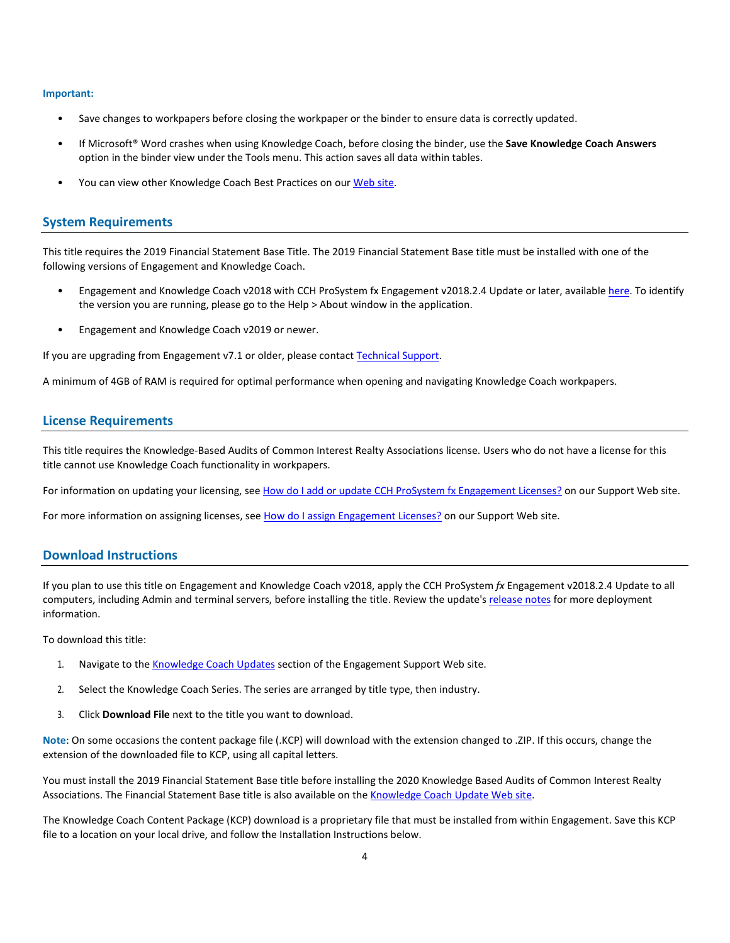#### **Important:**

- Save changes to workpapers before closing the workpaper or the binder to ensure data is correctly updated.
- If Microsoft® Word crashes when using Knowledge Coach, before closing the binder, use the **Save Knowledge Coach Answers** option in the binder view under the Tools menu. This action saves all data within tables.
- You can view other Knowledge Coach Best Practices on ou[r Web](https://support.cch.com/kb/solution/000034942/sw34947) site.

#### **System Requirements**

This title requires the 2019 Financial Statement Base Title. The 2019 Financial Statement Base title must be installed with one of the following versions of Engagement and Knowledge Coach.

- Engagement and Knowledge Coach v2018 with CCH ProSystem fx Engagement v2018.2.4 Update or later, available [here.](https://support.cch.com/updates/Engagement/release2018/release2018.aspx) To identify the version you are running, please go to the Help > About window in the application.
- Engagement and Knowledge Coach v2019 or newer.

If you are upgrading from Engagement v7.1 or older, please contact [Technical Support.](https://support.cch.com/contact)

A minimum of 4GB of RAM is required for optimal performance when opening and navigating Knowledge Coach workpapers.

#### **License Requirements**

This title requires the Knowledge-Based Audits of Common Interest Realty Associations license. Users who do not have a license for this title cannot use Knowledge Coach functionality in workpapers.

For information on updating your licensing, see [How do I add or update CCH ProSystem fx Engagement Licenses?](https://support.cch.com/kb/solution.aspx/sw3937) on our Support Web site.

For more information on assigning licenses, see [How do I assign Engagement Licenses?](https://support.cch.com/kb/solution.aspx/sw3943) on our Support Web site.

#### **Download Instructions**

If you plan to use this title on Engagement and Knowledge Coach v2018, apply the CCH ProSystem *fx* Engagement v2018.2.4 Update to all computers, including Admin and terminal servers, before installing the title. Review the update's [release notes](https://d2iceilwdglxpz.cloudfront.net/release_notes/CCH%20ProSystem%20fx%20Engagement%202018.2.4%20Release%20Notes.pdf) for more deployment information.

To download this title:

- 1. Navigate to the [Knowledge Coach Updates](http://support.cch.com/updates/KnowledgeCoach) section of the Engagement Support Web site.
- 2. Select the Knowledge Coach Series. The series are arranged by title type, then industry.
- 3. Click **Download File** next to the title you want to download.

**Note**: On some occasions the content package file (.KCP) will download with the extension changed to .ZIP. If this occurs, change the extension of the downloaded file to KCP, using all capital letters.

You must install the 2019 Financial Statement Base title before installing the 2020 Knowledge Based Audits of Common Interest Realty Associations. The Financial Statement Base title is also available on th[e Knowledge Coach Update Web](http://support.cch.com/updates/KnowledgeCoach) site.

The Knowledge Coach Content Package (KCP) download is a proprietary file that must be installed from within Engagement. Save this KCP file to a location on your local drive, and follow the Installation Instructions below.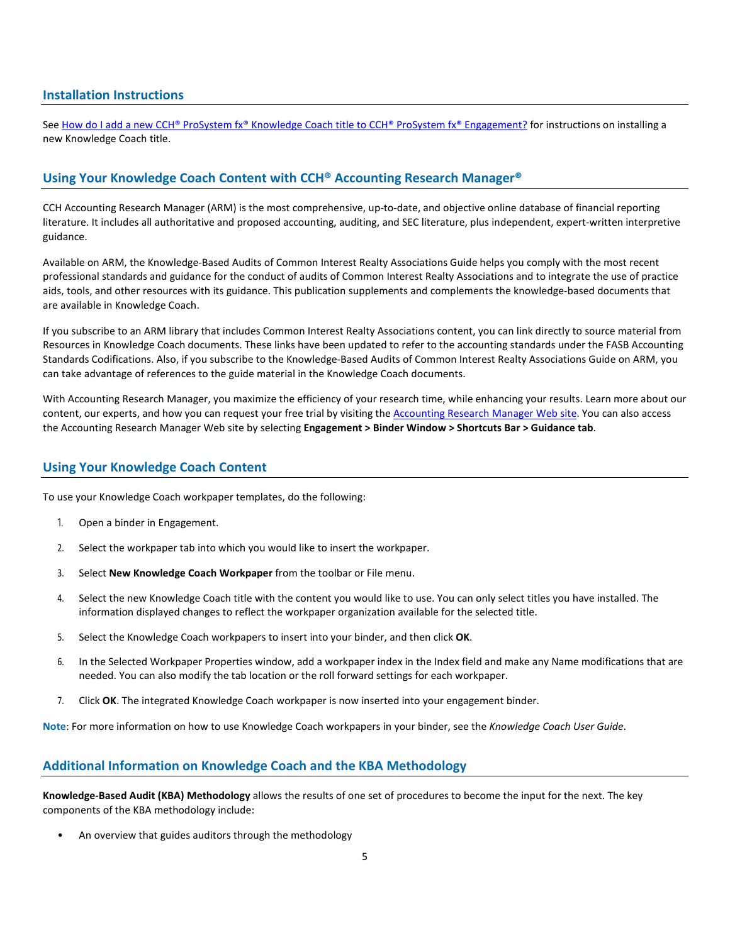#### **Installation Instructions**

See [How do I add a new CCH® ProSystem fx® Knowledge Coach title to CCH® ProSystem fx® Engagement?](https://support.cch.com/kb/solution/000033707/sw30271) for instructions on installing a new Knowledge Coach title.

# **Using Your Knowledge Coach Content with CCH® Accounting Research Manager®**

CCH Accounting Research Manager (ARM) is the most comprehensive, up-to-date, and objective online database of financial reporting literature. It includes all authoritative and proposed accounting, auditing, and SEC literature, plus independent, expert-written interpretive guidance.

Available on ARM, the Knowledge-Based Audits of Common Interest Realty Associations Guide helps you comply with the most recent professional standards and guidance for the conduct of audits of Common Interest Realty Associations and to integrate the use of practice aids, tools, and other resources with its guidance. This publication supplements and complements the knowledge-based documents that are available in Knowledge Coach.

If you subscribe to an ARM library that includes Common Interest Realty Associations content, you can link directly to source material from Resources in Knowledge Coach documents. These links have been updated to refer to the accounting standards under the FASB Accounting Standards Codifications. Also, if you subscribe to the Knowledge-Based Audits of Common Interest Realty Associations Guide on ARM, you can take advantage of references to the guide material in the Knowledge Coach documents.

With Accounting Research Manager, you maximize the efficiency of your research time, while enhancing your results. Learn more about our content, our experts, and how you can request your free trial by visiting the [Accounting Research Manager Web](http://www.accountingresearchmanager.com/) site. You can also access the Accounting Research Manager Web site by selecting **Engagement > Binder Window > Shortcuts Bar > Guidance tab**.

#### **Using Your Knowledge Coach Content**

To use your Knowledge Coach workpaper templates, do the following:

- 1. Open a binder in Engagement.
- 2. Select the workpaper tab into which you would like to insert the workpaper.
- 3. Select **New Knowledge Coach Workpaper** from the toolbar or File menu.
- 4. Select the new Knowledge Coach title with the content you would like to use. You can only select titles you have installed. The information displayed changes to reflect the workpaper organization available for the selected title.
- 5. Select the Knowledge Coach workpapers to insert into your binder, and then click **OK**.
- 6. In the Selected Workpaper Properties window, add a workpaper index in the Index field and make any Name modifications that are needed. You can also modify the tab location or the roll forward settings for each workpaper.
- 7. Click **OK**. The integrated Knowledge Coach workpaper is now inserted into your engagement binder.

**Note**: For more information on how to use Knowledge Coach workpapers in your binder, see the *Knowledge Coach User Guide*.

## **Additional Information on Knowledge Coach and the KBA Methodology**

**Knowledge-Based Audit (KBA) Methodology** allows the results of one set of procedures to become the input for the next. The key components of the KBA methodology include:

• An overview that guides auditors through the methodology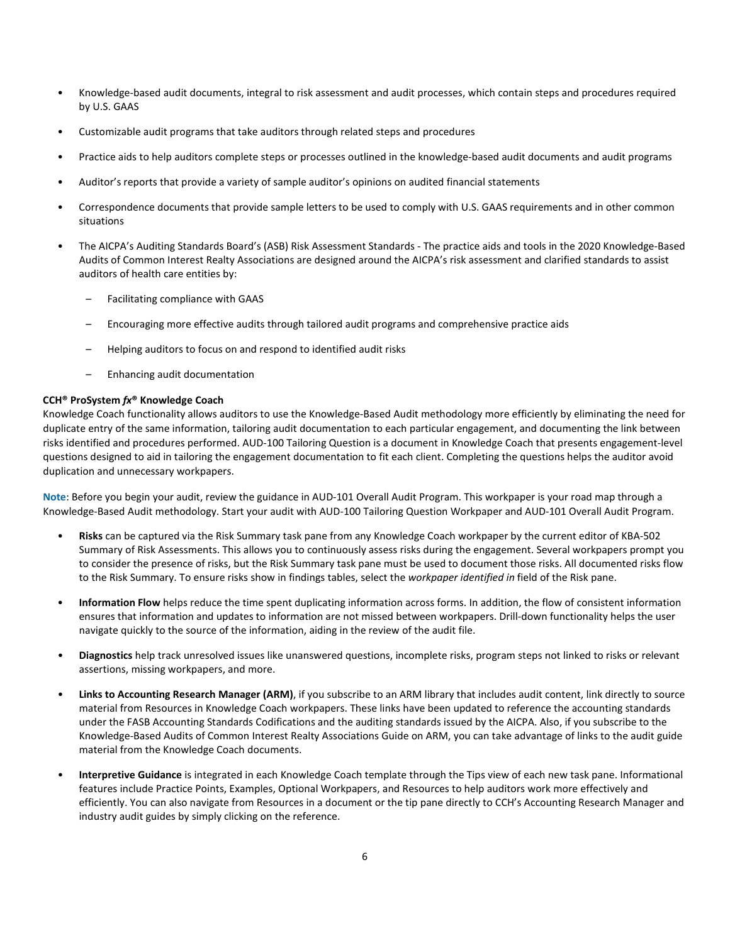- Knowledge-based audit documents, integral to risk assessment and audit processes, which contain steps and procedures required by U.S. GAAS
- Customizable audit programs that take auditors through related steps and procedures
- Practice aids to help auditors complete steps or processes outlined in the knowledge-based audit documents and audit programs
- Auditor's reports that provide a variety of sample auditor's opinions on audited financial statements
- Correspondence documents that provide sample letters to be used to comply with U.S. GAAS requirements and in other common situations
- The AICPA's Auditing Standards Board's (ASB) Risk Assessment Standards The practice aids and tools in the 2020 Knowledge-Based Audits of Common Interest Realty Associations are designed around the AICPA's risk assessment and clarified standards to assist auditors of health care entities by:
	- Facilitating compliance with GAAS
	- Encouraging more effective audits through tailored audit programs and comprehensive practice aids
	- Helping auditors to focus on and respond to identified audit risks
	- Enhancing audit documentation

#### **CCH® ProSystem** *fx***® Knowledge Coach**

Knowledge Coach functionality allows auditors to use the Knowledge-Based Audit methodology more efficiently by eliminating the need for duplicate entry of the same information, tailoring audit documentation to each particular engagement, and documenting the link between risks identified and procedures performed. AUD-100 Tailoring Question is a document in Knowledge Coach that presents engagement-level questions designed to aid in tailoring the engagement documentation to fit each client. Completing the questions helps the auditor avoid duplication and unnecessary workpapers.

**Note**: Before you begin your audit, review the guidance in AUD-101 Overall Audit Program. This workpaper is your road map through a Knowledge-Based Audit methodology. Start your audit with AUD-100 Tailoring Question Workpaper and AUD-101 Overall Audit Program.

- **Risks** can be captured via the Risk Summary task pane from any Knowledge Coach workpaper by the current editor of KBA-502 Summary of Risk Assessments. This allows you to continuously assess risks during the engagement. Several workpapers prompt you to consider the presence of risks, but the Risk Summary task pane must be used to document those risks. All documented risks flow to the Risk Summary. To ensure risks show in findings tables, select the *workpaper identified in* field of the Risk pane.
- **Information Flow** helps reduce the time spent duplicating information across forms. In addition, the flow of consistent information ensures that information and updates to information are not missed between workpapers. Drill-down functionality helps the user navigate quickly to the source of the information, aiding in the review of the audit file.
- **Diagnostics** help track unresolved issues like unanswered questions, incomplete risks, program steps not linked to risks or relevant assertions, missing workpapers, and more.
- **Links to Accounting Research Manager (ARM)**, if you subscribe to an ARM library that includes audit content, link directly to source material from Resources in Knowledge Coach workpapers. These links have been updated to reference the accounting standards under the FASB Accounting Standards Codifications and the auditing standards issued by the AICPA. Also, if you subscribe to the Knowledge-Based Audits of Common Interest Realty Associations Guide on ARM, you can take advantage of links to the audit guide material from the Knowledge Coach documents.
- **Interpretive Guidance** is integrated in each Knowledge Coach template through the Tips view of each new task pane. Informational features include Practice Points, Examples, Optional Workpapers, and Resources to help auditors work more effectively and efficiently. You can also navigate from Resources in a document or the tip pane directly to CCH's Accounting Research Manager and industry audit guides by simply clicking on the reference.